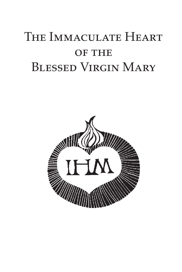# THE IMMACULATE HEART OF THE Blessed Virgin Mary

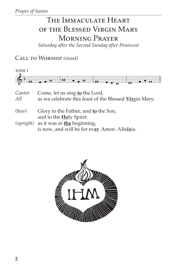# The Immaculate Heart of the Blessed Virgin Mary Morning Prayer

*Saturday after the Second Sunday after Pentecost*

Call to Worship *(stand)*

| TONE 1        |                                                                                                 |
|---------------|-------------------------------------------------------------------------------------------------|
|               | о                                                                                               |
| Cantor<br>All | Come, let us sing <b>to</b> the Lord,<br>as we celebrate this feast of the Blessed Virgin Mary. |
| (bow)         | Glory to the Father, and <b>to</b> the Son,<br>and to the <b>Holy</b> Spirit:                   |
| (upright)     | as it was in the beginning,<br>is now, and will be for ever. Amen. Alleluia.                    |

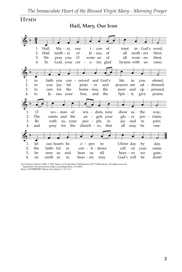## **HYMN**

**Hail, Mary, Our Icon**



Text: Delores Dufner, OSB, © 1993, Sisters of St. Benedict. Published by OCP Publications. All rights reserved. Reprinted with permission under LicenSingOnline, #U10230. Music: PADERBORN (Maria Zu Lieben), 11 11 11 11.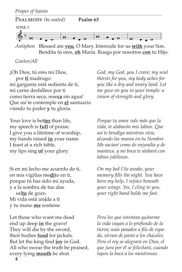

*Antiphon* Blessed are **you**, O Mary. Intercede for us **with** your Son. Bendita tú eres, **oh** María. Ruega por nosotros **con** tu Hijo.

*Cantor/All*

¡Oh Dios, tú eres mi Dios, por **ti** madrugo: mi garganta está sedienta de ti, mi carne desfallece por ti como tierra seca, rese**ca** sin agua! Que así te contemple en **el** santuario viendo tu poder **y** tu gloria.

Your love is bet**ter** than life, my speech is **full** of praise. I give you a lifetime of worship, my hands raised **in** your name. I feast at a rich table, my lips sing **of** your glory.

Si en mi lecho me acuerdo de ti, en mis vigilias me**di**to en ti, porque tú has sido mi ayuda, y a la sombra de tus alas sal**to** de gozo. Mi vida está un**i**da a ti y tu mano **me** sostiene.

Let those who want me dead end up deep **in** the grave! They will die by the sword, their bodies **food** for jackals. But let the king find **joy** in God. All who swear the truth be praised, every lying **mouth** be shut.

*God, my God, you I crave; my soul thirsts for you, my body aches for you like a dry and weary land. Let me gaze on you in your temple: a vision of strength and glory.*

*Porque tu amor vale más que la vida, te alabarán mis labios. Que así te bendiga mientras viva, alzando las manos en tu Nombre. Me saciaré como de enjundia y de manteca, y mi boca te alabará con labios jubilosos.*

*On my bed I lie awake, your memory fills the night. You have been my help, I rejoice beneath your wings. Yes, I cling to you, your right hand holds me fast.*

*Pero los que intentan quitarme la vida vayan a lo profundo de la tierra; sean pasados a filo de espada, sirvan de pasto a los chacales. Pero el rey se alegrará en Dios, el que jura por él se felicitará, cuando tapen la boca a los mentirosos.*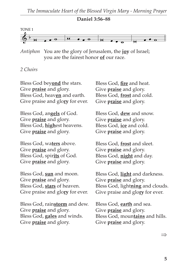#### **Daniel 3:56–88**



*Antiphon* You are the glory of Jerusalem, the **joy** of Israel; you are the fairest honor **of** our race.

#### *2 Choirs*

Bless God bey**ond** the stars. Give **praise** and glory. Bless God, heav**en** and earth. Give praise and glo**ry** for ever.

Bless God, an**gels** of God. Give **praise** and glory. Bless God, **high**est heavens. Give **praise** and glory.

Bless God, wa**ters** above. Give **praise** and glory. Bless God, spir**its** of God. Give **praise** and glory.

Bless God, **sun** and moon. Give **praise** and glory. Bless God, **stars** of heaven. Give praise and glo**ry** for ever.

Bless God, rain**storm** and dew. Give **praise** and glory. Bless God, **gales** and winds. Give **praise** and glory.

Bless God, **fire** and heat. Give **praise** and glory. Bless God, **frost** and cold. Give **praise** and glory.

Bless God, **dew** and snow. Give **praise** and glory. Bless God, **ice** and cold. Give **praise** and glory.

Bless God, **frost** and sleet. Give **praise** and glory. Bless God, **night** and day. Give **praise** and glory.

Bless God, **light** and darkness. Give **praise** and glory. Bless God, light**ning** and clouds. Give praise and glo**ry** for ever.

Bless God, **earth** and sea. Give **praise** and glory. Bless God, moun**tains** and hills. Give **praise** and glory.

⇒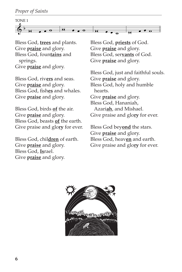

Bless God, **trees** and plants. Give **praise** and glory. Bless God, foun**tains** and springs. Give **praise** and glory.

Bless God, riv**ers** and seas. Give **praise** and glory. Bless God, fish**es** and whales. Give **praise** and glory.

Bless God, birds **of** the air. Give **praise** and glory. Bless God, beasts **of** the earth. Give praise and glo**ry** for ever.

Bless God, chil**dren** of earth. Give **praise** and glory. Bless God, **Is**rael. Give **praise** and glory.

Bless God, **priests** of God. Give **praise** and glory. Bless God, ser**vants** of God. Give **praise** and glory.

Bless God, just and faithful souls. Give **praise** and glory. Bless God, holy and humble hearts. Give **praise** and glory. Bless God, Hananiah, Azari**ah**, and Mishael. Give praise and glo**ry** for ever.

Bless God bey**ond** the stars. Give **praise** and glory. Bless God, heav**en** and earth. Give praise and glo**ry** for ever.

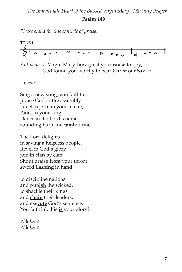#### **Psalm 149**

*Please stand for this canticle of praise.*



*Antiphon* O Virgin Mary, how great your **cause** for joy; God found you worthy to bear **Christ** our Savior.

## *2 Choirs*

Sing a new **song**, you faithful, praise God in **the** assembly. Israel, rejoice in your maker, Zion, **in** your king. Dance in the Lord's name, sounding harp and **tam**bourine.

The Lord delights in saving a **help**less people. Revel in God's glory, join in **clan** by clan. Shout praise **from** your throat, sword flash**ing** in hand

to discipline nations and pun**ish** the wicked, to shackle their kings and **chain** their leaders, and exe**cute** God's sentence. You faithful, this **is** your glory!

Alle*lu*ia! Alle*lu*ia!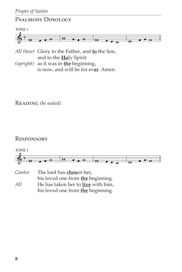# Psalmody Doxology



- *All (bow)* Glory to the Father, and **to** the Son, and to the **Ho**ly Spirit:
- *(upright)* as it was in **the** beginning, is now, and will be for ev**er**. Amen.

Reading *(be seated)*

# **RESPONSORY**



| Cantor | The lord has chosen her,           |
|--------|------------------------------------|
|        | his loved one from the beginning.  |
| All    | He has taken her to live with him, |
|        | his loved one from the beginning.  |